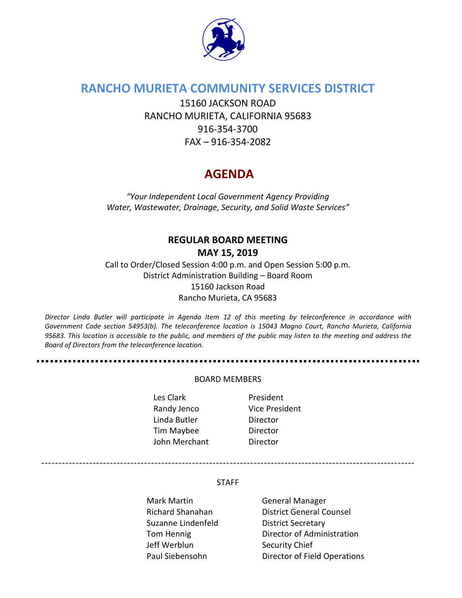

## **RANCHO MURIETA COMMUNITY SERVICES DISTRICT**

15160 JACKSON ROAD RANCHO MURIETA, CALIFORNIA 95683 916-354-3700 FAX – 916-354-2082

# **AGENDA**

*"Your Independent Local Government Agency Providing Water, Wastewater, Drainage, Security, and Solid Waste Services"*

# **REGULAR BOARD MEETING MAY 15, 2019**

Call to Order/Closed Session 4:00 p.m. and Open Session 5:00 p.m. District Administration Building – Board Room 15160 Jackson Road Rancho Murieta, CA 95683

*Director Linda Butler will participate in Agenda Item 12 of this meeting by teleconference in accordance with Government Code section 54953(b). The teleconference location is 15043 Magno Court, Rancho Murieta, California 95683. This location is accessible to the public, and members of the public may listen to the meeting and address the Board of Directors from the teleconference location.*

#### BOARD MEMBERS

Les Clark **President** Randy Jenco Vice President Linda Butler Director Tim Maybee Director John Merchant Director

STAFF

-------------------------------------------------------------------------------------------------------------

Mark Martin General Manager Suzanne Lindenfeld District Secretary Jeff Werblun Security Chief

Richard Shanahan District General Counsel Tom Hennig **Director of Administration** Paul Siebensohn Director of Field Operations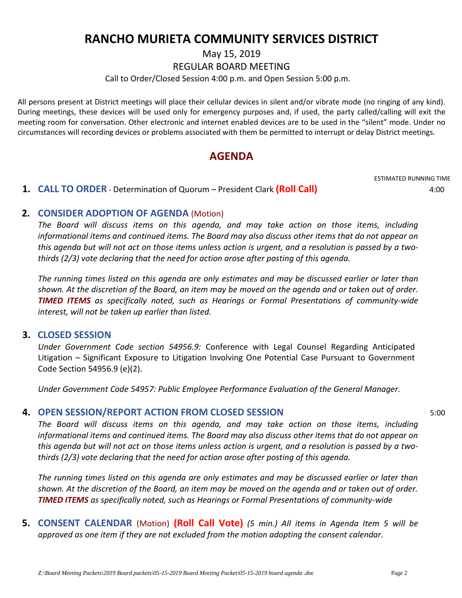# **RANCHO MURIETA COMMUNITY SERVICES DISTRICT**

May 15, 2019

REGULAR BOARD MEETING

Call to Order/Closed Session 4:00 p.m. and Open Session 5:00 p.m.

All persons present at District meetings will place their cellular devices in silent and/or vibrate mode (no ringing of any kind). During meetings, these devices will be used only for emergency purposes and, if used, the party called/calling will exit the meeting room for conversation. Other electronic and internet enabled devices are to be used in the "silent" mode. Under no circumstances will recording devices or problems associated with them be permitted to interrupt or delay District meetings.

# **AGENDA**

ESTIMATED RUNNING TIME

### **1. CALL TO ORDER** - Determination of Quorum – President Clark **(Roll Call)** 4:00

### **2. CONSIDER ADOPTION OF AGENDA** (Motion)

*The Board will discuss items on this agenda, and may take action on those items, including informational items and continued items. The Board may also discuss other items that do not appear on this agenda but will not act on those items unless action is urgent, and a resolution is passed by a twothirds (2/3) vote declaring that the need for action arose after posting of this agenda.*

*The running times listed on this agenda are only estimates and may be discussed earlier or later than shown. At the discretion of the Board, an item may be moved on the agenda and or taken out of order. TIMED ITEMS as specifically noted, such as Hearings or Formal Presentations of community-wide interest, will not be taken up earlier than listed.*

#### **3. CLOSED SESSION**

*Under Government Code section 54956.9:* Conference with Legal Counsel Regarding Anticipated Litigation – Significant Exposure to Litigation Involving One Potential Case Pursuant to Government Code Section 54956.9 (e)(2).

*Under Government Code 54957: Public Employee Performance Evaluation of the General Manager.*

## **4. OPEN SESSION/REPORT ACTION FROM CLOSED SESSION** 5:00

*The Board will discuss items on this agenda, and may take action on those items, including informational items and continued items. The Board may also discuss other items that do not appear on this agenda but will not act on those items unless action is urgent, and a resolution is passed by a twothirds (2/3) vote declaring that the need for action arose after posting of this agenda.*

*The running times listed on this agenda are only estimates and may be discussed earlier or later than shown. At the discretion of the Board, an item may be moved on the agenda and or taken out of order. TIMED ITEMS as specifically noted, such as Hearings or Formal Presentations of community-wide*

**5. CONSENT CALENDAR** (Motion) **(Roll Call Vote)** *(5 min.) All items in Agenda Item 5 will be approved as one item if they are not excluded from the motion adopting the consent calendar*.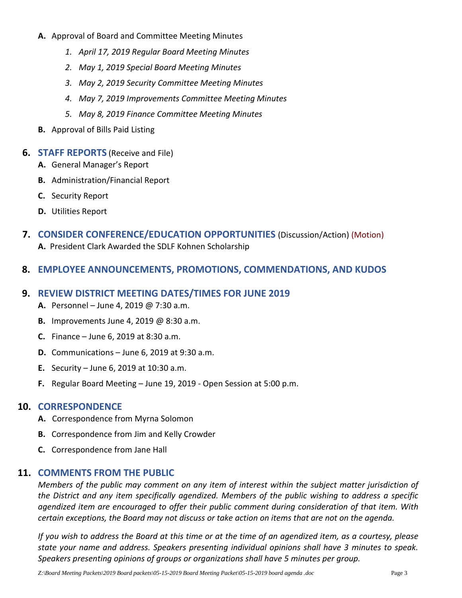- **A.** Approval of Board and Committee Meeting Minutes
	- *1. April 17, 2019 Regular Board Meeting Minutes*
	- *2. May 1, 2019 Special Board Meeting Minutes*
	- *3. May 2, 2019 Security Committee Meeting Minutes*
	- *4. May 7, 2019 Improvements Committee Meeting Minutes*
	- *5. May 8, 2019 Finance Committee Meeting Minutes*
- **B.** Approval of Bills Paid Listing

#### **6. STAFF REPORTS** (Receive and File)

- **A.** General Manager's Report
- **B.** Administration/Financial Report
- **C.** Security Report
- **D.** Utilities Report
- **7. CONSIDER CONFERENCE/EDUCATION OPPORTUNITIES** (Discussion/Action) (Motion) **A.** President Clark Awarded the SDLF Kohnen Scholarship
- **8. EMPLOYEE ANNOUNCEMENTS, PROMOTIONS, COMMENDATIONS, AND KUDOS**

#### **9. REVIEW DISTRICT MEETING DATES/TIMES FOR JUNE 2019**

- **A.** Personnel June 4, 2019 @ 7:30 a.m.
- **B.** Improvements June 4, 2019 @ 8:30 a.m.
- **C.** Finance June 6, 2019 at 8:30 a.m.
- **D.** Communications June 6, 2019 at 9:30 a.m.
- **E.** Security June 6, 2019 at 10:30 a.m.
- **F.** Regular Board Meeting June 19, 2019 Open Session at 5:00 p.m.

#### **10. CORRESPONDENCE**

- **A.** Correspondence from Myrna Solomon
- **B.** Correspondence from Jim and Kelly Crowder
- **C.** Correspondence from Jane Hall

#### **11. COMMENTS FROM THE PUBLIC**

*Members of the public may comment on any item of interest within the subject matter jurisdiction of the District and any item specifically agendized. Members of the public wishing to address a specific agendized item are encouraged to offer their public comment during consideration of that item. With certain exceptions, the Board may not discuss or take action on items that are not on the agenda.* 

*If you wish to address the Board at this time or at the time of an agendized item, as a courtesy, please state your name and address. Speakers presenting individual opinions shall have 3 minutes to speak. Speakers presenting opinions of groups or organizations shall have 5 minutes per group.*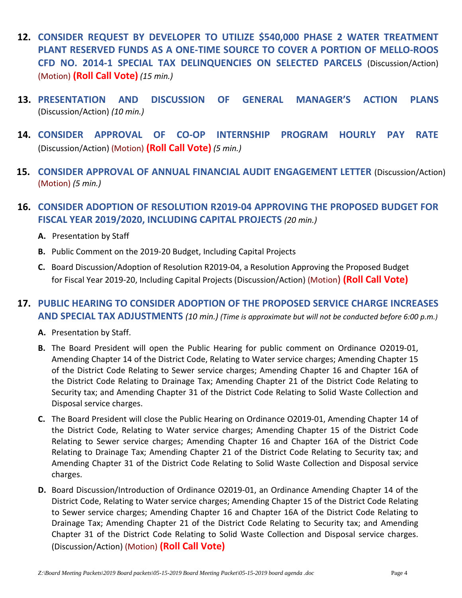- **12. CONSIDER REQUEST BY DEVELOPER TO UTILIZE \$540,000 PHASE 2 WATER TREATMENT PLANT RESERVED FUNDS AS A ONE-TIME SOURCE TO COVER A PORTION OF MELLO-ROOS CFD NO. 2014-1 SPECIAL TAX DELINQUENCIES ON SELECTED PARCELS** (Discussion/Action) (Motion) **(Roll Call Vote)** *(15 min.)*
- **13. PRESENTATION AND DISCUSSION OF GENERAL MANAGER'S ACTION PLANS** (Discussion/Action) *(10 min.)*
- **14. CONSIDER APPROVAL OF CO-OP INTERNSHIP PROGRAM HOURLY PAY RATE** (Discussion/Action) (Motion) **(Roll Call Vote)** *(5 min.)*
- **15. CONSIDER APPROVAL OF ANNUAL FINANCIAL AUDIT ENGAGEMENT LETTER** (Discussion/Action) (Motion) *(5 min.)*

## **16. CONSIDER ADOPTION OF RESOLUTION R2019-04 APPROVING THE PROPOSED BUDGET FOR FISCAL YEAR 2019/2020, INCLUDING CAPITAL PROJECTS** *(20 min.)*

- **A.** Presentation by Staff
- **B.** Public Comment on the 2019-20 Budget, Including Capital Projects
- **C.** Board Discussion/Adoption of Resolution R2019-04, a Resolution Approving the Proposed Budget for Fiscal Year 2019-20, Including Capital Projects (Discussion/Action) (Motion) **(Roll Call Vote)**

## **17. PUBLIC HEARING TO CONSIDER ADOPTION OF THE PROPOSED SERVICE CHARGE INCREASES AND SPECIAL TAX ADJUSTMENTS** *(10 min.) (Time is approximate but will not be conducted before 6:00 p.m.)*

- **A.** Presentation by Staff.
- **B.** The Board President will open the Public Hearing for public comment on Ordinance O2019-01, Amending Chapter 14 of the District Code, Relating to Water service charges; Amending Chapter 15 of the District Code Relating to Sewer service charges; Amending Chapter 16 and Chapter 16A of the District Code Relating to Drainage Tax; Amending Chapter 21 of the District Code Relating to Security tax; and Amending Chapter 31 of the District Code Relating to Solid Waste Collection and Disposal service charges.
- **C.** The Board President will close the Public Hearing on Ordinance O2019-01, Amending Chapter 14 of the District Code, Relating to Water service charges; Amending Chapter 15 of the District Code Relating to Sewer service charges; Amending Chapter 16 and Chapter 16A of the District Code Relating to Drainage Tax; Amending Chapter 21 of the District Code Relating to Security tax; and Amending Chapter 31 of the District Code Relating to Solid Waste Collection and Disposal service charges.
- **D.** Board Discussion/Introduction of Ordinance O2019-01, an Ordinance Amending Chapter 14 of the District Code, Relating to Water service charges; Amending Chapter 15 of the District Code Relating to Sewer service charges; Amending Chapter 16 and Chapter 16A of the District Code Relating to Drainage Tax; Amending Chapter 21 of the District Code Relating to Security tax; and Amending Chapter 31 of the District Code Relating to Solid Waste Collection and Disposal service charges. (Discussion/Action) (Motion) **(Roll Call Vote)**